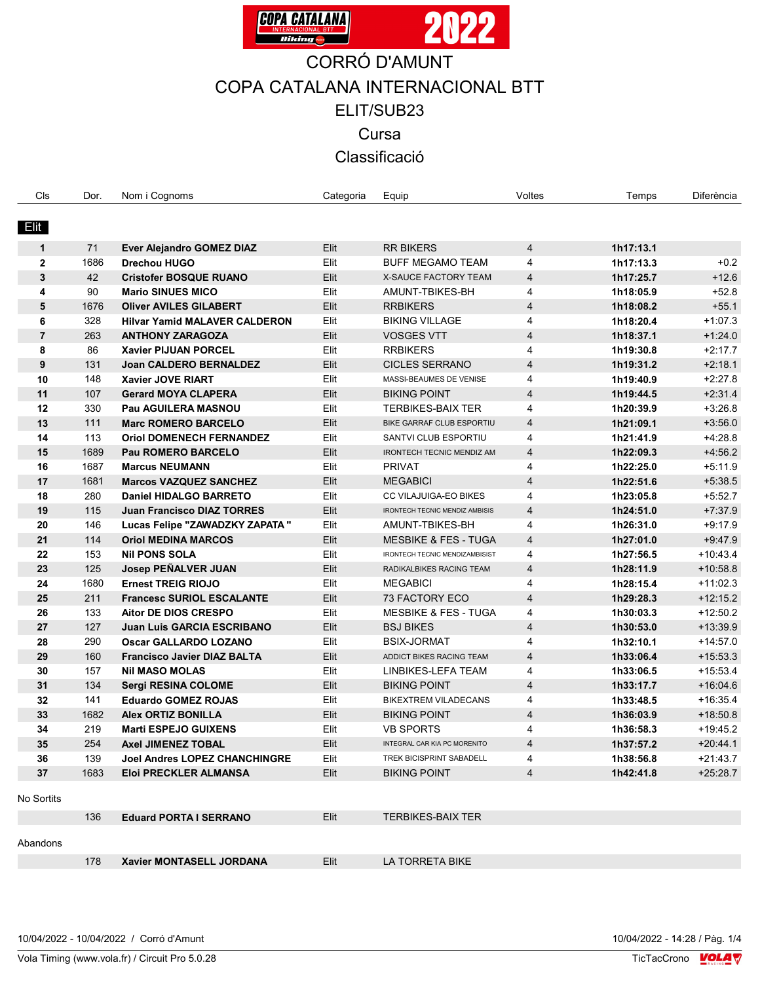

| Cls            | Dor. | Nom i Cognoms                        | Categoria | Equip                           | Voltes         | Temps     | Diferència |
|----------------|------|--------------------------------------|-----------|---------------------------------|----------------|-----------|------------|
|                |      |                                      |           |                                 |                |           |            |
| Elit           |      |                                      |           |                                 |                |           |            |
| 1              | 71   | Ever Alejandro GOMEZ DIAZ            | Elit      | <b>RR BIKERS</b>                | $\overline{4}$ | 1h17:13.1 |            |
| $\mathbf{2}$   | 1686 | <b>Drechou HUGO</b>                  | Elit      | <b>BUFF MEGAMO TEAM</b>         | 4              | 1h17:13.3 | $+0.2$     |
| 3              | 42   | <b>Cristofer BOSQUE RUANO</b>        | Elit      | X-SAUCE FACTORY TEAM            | 4              | 1h17:25.7 | $+12.6$    |
| 4              | 90   | <b>Mario SINUES MICO</b>             | Elit      | AMUNT-TBIKES-BH                 | 4              | 1h18:05.9 | $+52.8$    |
| 5              | 1676 | <b>Oliver AVILES GILABERT</b>        | Elit      | <b>RRBIKERS</b>                 | 4              | 1h18:08.2 | $+55.1$    |
| 6              | 328  | <b>Hilvar Yamid MALAVER CALDERON</b> | Elit      | <b>BIKING VILLAGE</b>           | 4              | 1h18:20.4 | $+1.07.3$  |
| $\overline{7}$ | 263  | <b>ANTHONY ZARAGOZA</b>              | Elit      | <b>VOSGES VTT</b>               | $\overline{4}$ | 1h18:37.1 | $+1:24.0$  |
| 8              | 86   | <b>Xavier PIJUAN PORCEL</b>          | Elit      | <b>RRBIKERS</b>                 | 4              | 1h19:30.8 | $+2:17.7$  |
| 9              | 131  | <b>Joan CALDERO BERNALDEZ</b>        | Elit      | <b>CICLES SERRANO</b>           | $\overline{4}$ | 1h19:31.2 | $+2.18.1$  |
| 10             | 148  | <b>Xavier JOVE RIART</b>             | Elit      | MASSI-BEAUMES DE VENISE         | 4              | 1h19:40.9 | $+2.27.8$  |
| 11             | 107  | <b>Gerard MOYA CLAPERA</b>           | Elit      | <b>BIKING POINT</b>             | $\overline{4}$ | 1h19:44.5 | $+2.31.4$  |
| 12             | 330  | Pau AGUILERA MASNOU                  | Elit      | <b>TERBIKES-BAIX TER</b>        | 4              | 1h20:39.9 | $+3.26.8$  |
| 13             | 111  | <b>Marc ROMERO BARCELO</b>           | Elit      | BIKE GARRAF CLUB ESPORTIU       | $\overline{4}$ | 1h21:09.1 | $+3.56.0$  |
| 14             | 113  | <b>Oriol DOMENECH FERNANDEZ</b>      | Elit      | SANTVI CLUB ESPORTIU            | 4              | 1h21:41.9 | $+4.28.8$  |
| 15             | 1689 | <b>Pau ROMERO BARCELO</b>            | Elit      | IRONTECH TECNIC MENDIZ AM       | $\overline{4}$ | 1h22:09.3 | $+4:56.2$  |
| 16             | 1687 | <b>Marcus NEUMANN</b>                | Elit      | <b>PRIVAT</b>                   | 4              | 1h22:25.0 | $+5.11.9$  |
| 17             | 1681 | <b>Marcos VAZQUEZ SANCHEZ</b>        | Elit      | <b>MEGABICI</b>                 | $\overline{4}$ | 1h22:51.6 | $+5:38.5$  |
| 18             | 280  | <b>Daniel HIDALGO BARRETO</b>        | Elit      | CC VILAJUIGA-EO BIKES           | 4              | 1h23:05.8 | $+5:52.7$  |
| 19             | 115  | <b>Juan Francisco DIAZ TORRES</b>    | Elit      | IRONTECH TECNIC MENDIZ AMBISIS  | $\overline{4}$ | 1h24:51.0 | $+7.37.9$  |
| 20             | 146  | Lucas Felipe "ZAWADZKY ZAPATA "      | Elit      | AMUNT-TBIKES-BH                 | 4              | 1h26:31.0 | $+9.17.9$  |
| 21             | 114  | <b>Oriol MEDINA MARCOS</b>           | Elit      | <b>MESBIKE &amp; FES - TUGA</b> | $\overline{4}$ | 1h27:01.0 | $+9.47.9$  |
| 22             | 153  | <b>Nil PONS SOLA</b>                 | Elit      | IRONTECH TECNIC MENDIZAMBISIST  | 4              | 1h27:56.5 | $+10.43.4$ |
| 23             | 125  | <b>Josep PEÑALVER JUAN</b>           | Elit      | RADIKALBIKES RACING TEAM        | $\overline{4}$ | 1h28:11.9 | $+10.58.8$ |
| 24             | 1680 | <b>Ernest TREIG RIOJO</b>            | Elit      | <b>MEGABICI</b>                 | 4              | 1h28:15.4 | $+11:02.3$ |
| 25             | 211  | <b>Francesc SURIOL ESCALANTE</b>     | Elit      | 73 FACTORY ECO                  | $\overline{4}$ | 1h29:28.3 | $+12:15.2$ |
| 26             | 133  | <b>Aitor DE DIOS CRESPO</b>          | Elit      | <b>MESBIKE &amp; FES - TUGA</b> | 4              | 1h30:03.3 | $+12:50.2$ |
| 27             | 127  | <b>Juan Luis GARCIA ESCRIBANO</b>    | Elit      | <b>BSJ BIKES</b>                | $\overline{4}$ | 1h30:53.0 | $+13:39.9$ |
| 28             | 290  | <b>Oscar GALLARDO LOZANO</b>         | Elit      | <b>BSIX-JORMAT</b>              | 4              | 1h32:10.1 | $+14:57.0$ |
| 29             | 160  | <b>Francisco Javier DIAZ BALTA</b>   | Elit      | ADDICT BIKES RACING TEAM        | $\overline{4}$ | 1h33:06.4 | $+15:53.3$ |
| 30             | 157  | <b>Nil MASO MOLAS</b>                | Elit      | LINBIKES-LEFA TEAM              | 4              | 1h33:06.5 | $+15:53.4$ |
| 31             | 134  | <b>Sergi RESINA COLOME</b>           | Elit      | <b>BIKING POINT</b>             | $\overline{4}$ | 1h33:17.7 | $+16:04.6$ |
| 32             | 141  | <b>Eduardo GOMEZ ROJAS</b>           | Elit      | <b>BIKEXTREM VILADECANS</b>     | 4              | 1h33:48.5 | $+16:35.4$ |
| 33             | 1682 | <b>Alex ORTIZ BONILLA</b>            | Elit      | <b>BIKING POINT</b>             | $\overline{4}$ | 1h36:03.9 | $+18:50.8$ |
| 34             | 219  | <b>Marti ESPEJO GUIXENS</b>          | Elit      | <b>VB SPORTS</b>                | 4              | 1h36:58.3 | $+19:45.2$ |
| 35             | 254  | <b>Axel JIMENEZ TOBAL</b>            | Elit      | INTEGRAL CAR KIA PC MORENITO    | 4              | 1h37:57.2 | $+20.44.1$ |
| 36             | 139  | <b>Joel Andres LOPEZ CHANCHINGRE</b> | Elit      | TREK BICISPRINT SABADELL        | 4              | 1h38:56.8 | $+21:43.7$ |
| 37             | 1683 | Eloi PRECKLER ALMANSA                | Elit      | <b>BIKING POINT</b>             | 4              | 1h42:41.8 | $+25:28.7$ |
|                |      |                                      |           |                                 |                |           |            |
| No Sortits     |      |                                      |           |                                 |                |           |            |
|                | 136  | <b>Eduard PORTA I SERRANO</b>        | Elit      | <b>TERBIKES-BAIX TER</b>        |                |           |            |
|                |      |                                      |           |                                 |                |           |            |
| Abandons       |      |                                      |           |                                 |                |           |            |
|                | 178  | Xavier MONTASELL JORDANA             | Elit      | LA TORRETA BIKE                 |                |           |            |

Vola Timing (www.vola.fr) / Circuit Pro 5.0.28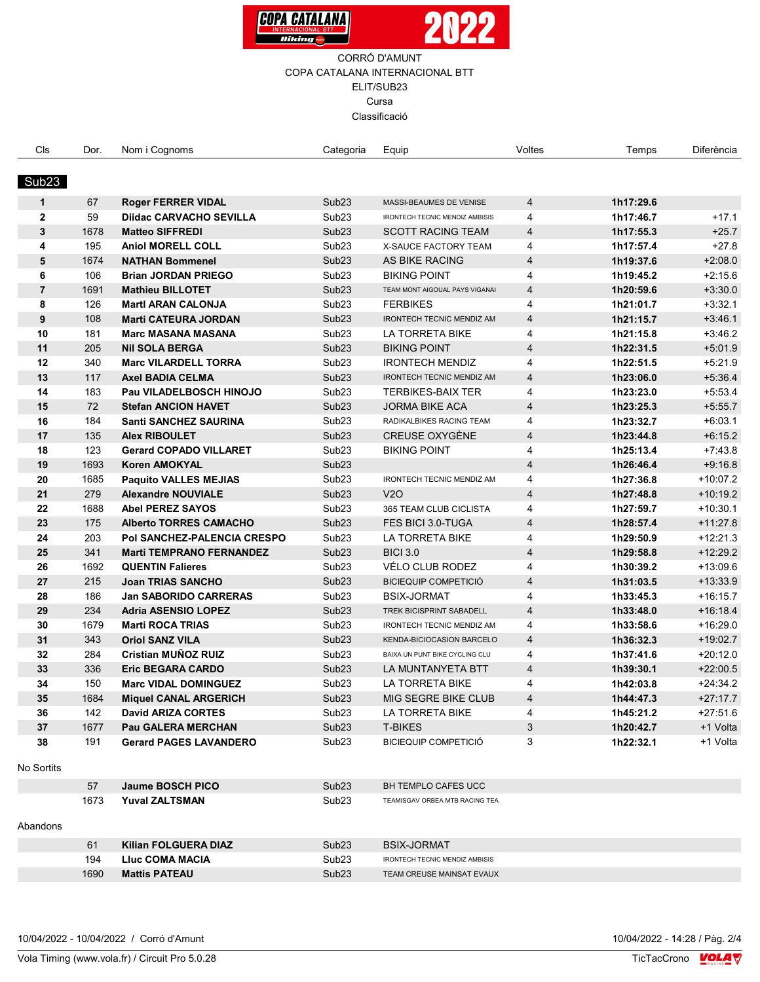



| Cls            | Dor. | Nom i Cognoms                   | Categoria         | Equip                                 | Voltes                  | Temps     | Diferència |
|----------------|------|---------------------------------|-------------------|---------------------------------------|-------------------------|-----------|------------|
|                |      |                                 |                   |                                       |                         |           |            |
| Sub23          |      |                                 |                   |                                       |                         |           |            |
|                |      |                                 |                   |                                       |                         |           |            |
| $\mathbf 1$    | 67   | <b>Roger FERRER VIDAL</b>       | Sub <sub>23</sub> | MASSI-BEAUMES DE VENISE               | 4                       | 1h17:29.6 |            |
| $\mathbf{2}$   | 59   | <b>Diidac CARVACHO SEVILLA</b>  | Sub <sub>23</sub> | IRONTECH TECNIC MENDIZ AMBISIS        | 4                       | 1h17:46.7 | $+17.1$    |
| 3              | 1678 | <b>Matteo SIFFREDI</b>          | Sub <sub>23</sub> | <b>SCOTT RACING TEAM</b>              | $\overline{4}$          | 1h17:55.3 | $+25.7$    |
| 4              | 195  | <b>Aniol MORELL COLL</b>        | Sub <sub>23</sub> | X-SAUCE FACTORY TEAM                  | 4                       | 1h17:57.4 | $+27.8$    |
| 5              | 1674 | <b>NATHAN Bommenel</b>          | Sub <sub>23</sub> | AS BIKE RACING                        | 4                       | 1h19:37.6 | $+2:08.0$  |
| 6              | 106  | <b>Brian JORDAN PRIEGO</b>      | Sub <sub>23</sub> | <b>BIKING POINT</b>                   | 4                       | 1h19:45.2 | $+2:15.6$  |
| $\overline{7}$ | 1691 | <b>Mathieu BILLOTET</b>         | Sub <sub>23</sub> | TEAM MONT AIGOUAL PAYS VIGANAI        | $\overline{4}$          | 1h20:59.6 | $+3:30.0$  |
| 8              | 126  | <b>Martl ARAN CALONJA</b>       | Sub <sub>23</sub> | <b>FERBIKES</b>                       | 4                       | 1h21:01.7 | $+3:32.1$  |
| 9              | 108  | <b>Marti CATEURA JORDAN</b>     | Sub <sub>23</sub> | <b>IRONTECH TECNIC MENDIZ AM</b>      | $\overline{4}$          | 1h21:15.7 | $+3.46.1$  |
| 10             | 181  | <b>Marc MASANA MASANA</b>       | Sub <sub>23</sub> | LA TORRETA BIKE                       | 4                       | 1h21:15.8 | $+3.46.2$  |
| 11             | 205  | <b>Nil SOLA BERGA</b>           | Sub <sub>23</sub> | <b>BIKING POINT</b>                   | $\overline{4}$          | 1h22:31.5 | $+5.01.9$  |
| 12             | 340  | <b>Marc VILARDELL TORRA</b>     | Sub <sub>23</sub> | <b>IRONTECH MENDIZ</b>                | 4                       | 1h22:51.5 | $+5:21.9$  |
| 13             | 117  | <b>Axel BADIA CELMA</b>         | Sub <sub>23</sub> | IRONTECH TECNIC MENDIZ AM             | $\overline{4}$          | 1h23:06.0 | $+5.36.4$  |
| 14             | 183  | Pau VILADELBOSCH HINOJO         | Sub <sub>23</sub> | <b>TERBIKES-BAIX TER</b>              | 4                       | 1h23:23.0 | $+5.53.4$  |
| 15             | 72   | <b>Stefan ANCION HAVET</b>      | Sub <sub>23</sub> | <b>JORMA BIKE ACA</b>                 | $\overline{4}$          | 1h23:25.3 | $+5.55.7$  |
| 16             | 184  | Santi SANCHEZ SAURINA           | Sub <sub>23</sub> | RADIKALBIKES RACING TEAM              | 4                       | 1h23:32.7 | $+6:03.1$  |
| 17             | 135  | <b>Alex RIBOULET</b>            | Sub <sub>23</sub> | <b>CREUSE OXYGÈNE</b>                 | $\overline{4}$          | 1h23:44.8 | $+6.15.2$  |
| 18             | 123  | <b>Gerard COPADO VILLARET</b>   | Sub <sub>23</sub> | <b>BIKING POINT</b>                   | 4                       | 1h25:13.4 | $+7.43.8$  |
| 19             | 1693 | <b>Koren AMOKYAL</b>            | Sub <sub>23</sub> |                                       | $\overline{4}$          | 1h26:46.4 | $+9.16.8$  |
| 20             | 1685 | <b>Paquito VALLES MEJIAS</b>    | Sub <sub>23</sub> | IRONTECH TECNIC MENDIZ AM             | 4                       | 1h27:36.8 | $+10:07.2$ |
| 21             | 279  | <b>Alexandre NOUVIALE</b>       | Sub <sub>23</sub> | <b>V2O</b>                            | $\overline{\mathbf{4}}$ | 1h27:48.8 | $+10:19.2$ |
| 22             | 1688 | <b>Abel PEREZ SAYOS</b>         | Sub <sub>23</sub> | 365 TEAM CLUB CICLISTA                | 4                       | 1h27:59.7 | $+10:30.1$ |
| 23             | 175  | <b>Alberto TORRES CAMACHO</b>   | Sub <sub>23</sub> | FES BICI 3.0-TUGA                     | $\overline{4}$          | 1h28:57.4 | $+11:27.8$ |
| 24             | 203  | Pol SANCHEZ-PALENCIA CRESPO     | Sub <sub>23</sub> | LA TORRETA BIKE                       | 4                       | 1h29:50.9 | $+12:21.3$ |
| 25             | 341  | <b>Marti TEMPRANO FERNANDEZ</b> | Sub <sub>23</sub> | <b>BICI 3.0</b>                       | 4                       | 1h29:58.8 | $+12:29.2$ |
| 26             | 1692 | <b>QUENTIN Falieres</b>         | Sub <sub>23</sub> | VÉLO CLUB RODEZ                       | 4                       | 1h30:39.2 | $+13:09.6$ |
| 27             | 215  | <b>Joan TRIAS SANCHO</b>        | Sub <sub>23</sub> | <b>BICIEQUIP COMPETICIÓ</b>           | 4                       | 1h31:03.5 | $+13:33.9$ |
| 28             | 186  | <b>Jan SABORIDO CARRERAS</b>    | Sub <sub>23</sub> | BSIX-JORMAT                           | 4                       | 1h33:45.3 | $+16:15.7$ |
| 29             | 234  | <b>Adria ASENSIO LOPEZ</b>      | Sub <sub>23</sub> | TREK BICISPRINT SABADELL              | $\overline{4}$          | 1h33:48.0 | $+16:18.4$ |
| 30             | 1679 | <b>Marti ROCA TRIAS</b>         | Sub <sub>23</sub> | <b>IRONTECH TECNIC MENDIZ AM</b>      | 4                       | 1h33:58.6 | $+16:29.0$ |
| 31             | 343  | <b>Oriol SANZ VILA</b>          | Sub <sub>23</sub> | KENDA-BICIOCASION BARCELO             | $\overline{4}$          | 1h36:32.3 | $+19:02.7$ |
| 32             | 284  | Cristian MUÑOZ RUIZ             | Sub <sub>23</sub> | BAIXA UN PUNT BIKE CYCLING CLU        | 4                       | 1h37:41.6 | $+20:12.0$ |
| 33             | 336  | <b>Eric BEGARA CARDO</b>        | Sub <sub>23</sub> | LA MUNTANYETA BTT                     | $\overline{4}$          | 1h39:30.1 | $+22:00.5$ |
| 34             | 150  | <b>Marc VIDAL DOMINGUEZ</b>     | Sub <sub>23</sub> | LA TORRETA BIKE                       | 4                       | 1h42:03.8 | $+24:34.2$ |
| 35             | 1684 | <b>Miquel CANAL ARGERICH</b>    | Sub <sub>23</sub> | MIG SEGRE BIKE CLUB                   | 4                       | 1h44:47.3 | $+27:17.7$ |
| 36             | 142  | <b>David ARIZA CORTES</b>       | Sub <sub>23</sub> | LA TORRETA BIKE                       | 4                       | 1h45:21.2 | $+27:51.6$ |
| 37             | 1677 | Pau GALERA MERCHAN              | Sub <sub>23</sub> | <b>T-BIKES</b>                        | 3                       | 1h20:42.7 | +1 Volta   |
| 38             | 191  | <b>Gerard PAGES LAVANDERO</b>   | Sub <sub>23</sub> | <b>BICIEQUIP COMPETICIÓ</b>           | 3                       | 1h22:32.1 | +1 Volta   |
|                |      |                                 |                   |                                       |                         |           |            |
| No Sortits     |      |                                 |                   |                                       |                         |           |            |
|                | 57   | Jaume BOSCH PICO                | Sub <sub>23</sub> | BH TEMPLO CAFES UCC                   |                         |           |            |
|                | 1673 | <b>Yuval ZALTSMAN</b>           | Sub <sub>23</sub> | TEAMISGAV ORBEA MTB RACING TEA        |                         |           |            |
|                |      |                                 |                   |                                       |                         |           |            |
| Abandons       |      |                                 |                   |                                       |                         |           |            |
|                | 61   | Kilian FOLGUERA DIAZ            | Sub <sub>23</sub> | <b>BSIX-JORMAT</b>                    |                         |           |            |
|                | 194  | Lluc COMA MACIA                 | Sub <sub>23</sub> | <b>IRONTECH TECNIC MENDIZ AMBISIS</b> |                         |           |            |
|                | 1690 | <b>Mattis PATEAU</b>            | Sub <sub>23</sub> | TEAM CREUSE MAINSAT EVAUX             |                         |           |            |
|                |      |                                 |                   |                                       |                         |           |            |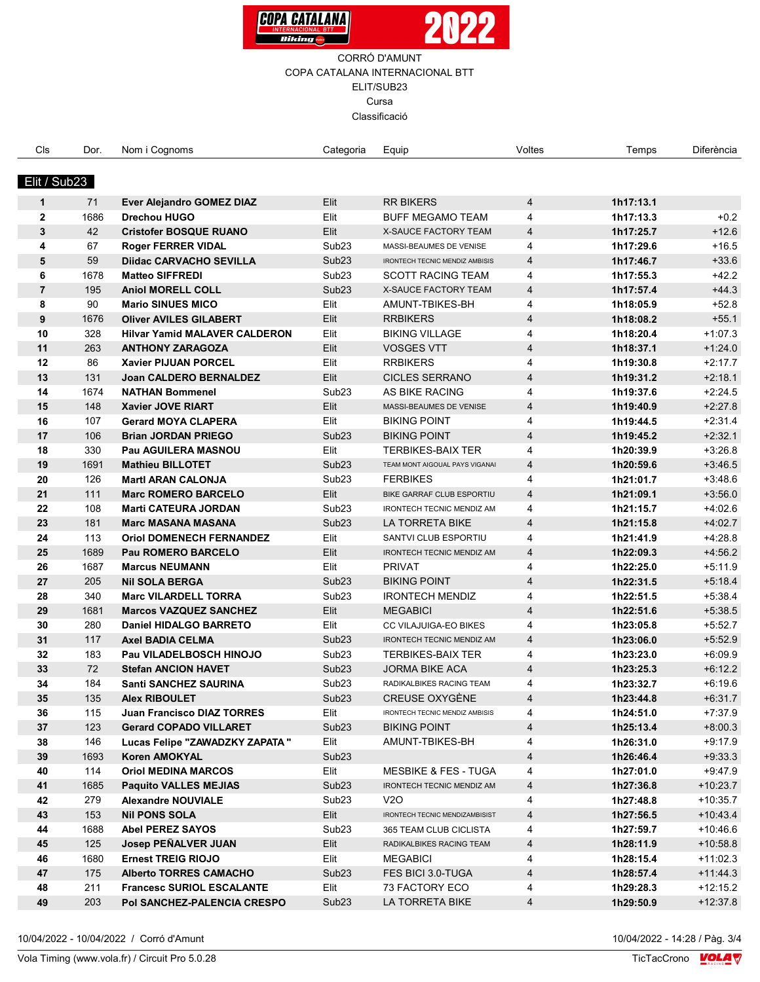



| Cls            | Dor. | Nom i Cognoms                        | Categoria         | Equip                           | Voltes         | Temps     | Diferència |
|----------------|------|--------------------------------------|-------------------|---------------------------------|----------------|-----------|------------|
|                |      |                                      |                   |                                 |                |           |            |
| Elit / Sub23   |      |                                      |                   |                                 |                |           |            |
| $\mathbf{1}$   | 71   | Ever Alejandro GOMEZ DIAZ            | Elit              | <b>RR BIKERS</b>                | $\overline{4}$ | 1h17:13.1 |            |
| $\mathbf{2}$   | 1686 | <b>Drechou HUGO</b>                  | Elit              | <b>BUFF MEGAMO TEAM</b>         | 4              | 1h17:13.3 | $+0.2$     |
| $\mathbf{3}$   | 42   | <b>Cristofer BOSQUE RUANO</b>        | Elit              | X-SAUCE FACTORY TEAM            | 4              | 1h17:25.7 | $+12.6$    |
| 4              | 67   | <b>Roger FERRER VIDAL</b>            | Sub <sub>23</sub> | MASSI-BEAUMES DE VENISE         | 4              | 1h17:29.6 | $+16.5$    |
| 5              | 59   | <b>Diidac CARVACHO SEVILLA</b>       | Sub <sub>23</sub> | IRONTECH TECNIC MENDIZ AMBISIS  | $\overline{4}$ | 1h17:46.7 | $+33.6$    |
| 6              | 1678 | <b>Matteo SIFFREDI</b>               | Sub <sub>23</sub> | <b>SCOTT RACING TEAM</b>        | 4              | 1h17:55.3 | $+42.2$    |
| $\overline{7}$ | 195  | <b>Aniol MORELL COLL</b>             | Sub <sub>23</sub> | <b>X-SAUCE FACTORY TEAM</b>     | $\overline{4}$ | 1h17:57.4 | $+44.3$    |
| 8              | 90   | <b>Mario SINUES MICO</b>             | Elit              | AMUNT-TBIKES-BH                 | 4              | 1h18:05.9 | $+52.8$    |
| 9              | 1676 | <b>Oliver AVILES GILABERT</b>        | Elit              | <b>RRBIKERS</b>                 | $\overline{4}$ | 1h18:08.2 | $+55.1$    |
| 10             | 328  | <b>Hilvar Yamid MALAVER CALDERON</b> | Elit              | <b>BIKING VILLAGE</b>           | 4              | 1h18:20.4 | $+1.07.3$  |
| 11             | 263  | <b>ANTHONY ZARAGOZA</b>              | Elit              | <b>VOSGES VTT</b>               | $\overline{4}$ | 1h18:37.1 | $+1.24.0$  |
| 12             | 86   | Xavier PIJUAN PORCEL                 | Elit              | <b>RRBIKERS</b>                 | 4              | 1h19:30.8 | $+2.17.7$  |
| 13             | 131  | <b>Joan CALDERO BERNALDEZ</b>        | Elit              | <b>CICLES SERRANO</b>           | $\overline{4}$ | 1h19:31.2 | $+2:18.1$  |
| 14             | 1674 | <b>NATHAN Bommenel</b>               | Sub <sub>23</sub> | AS BIKE RACING                  | 4              | 1h19:37.6 | $+2:24.5$  |
| 15             | 148  | Xavier JOVE RIART                    | Elit              | MASSI-BEAUMES DE VENISE         | $\overline{4}$ | 1h19:40.9 | $+2:27.8$  |
| 16             | 107  | <b>Gerard MOYA CLAPERA</b>           | Elit              | <b>BIKING POINT</b>             | 4              | 1h19:44.5 | $+2.31.4$  |
| 17             | 106  | <b>Brian JORDAN PRIEGO</b>           | Sub <sub>23</sub> | <b>BIKING POINT</b>             | 4              | 1h19:45.2 | $+2:32.1$  |
| 18             | 330  | Pau AGUILERA MASNOU                  | Elit              | <b>TERBIKES-BAIX TER</b>        | 4              | 1h20:39.9 | $+3.26.8$  |
| 19             | 1691 | <b>Mathieu BILLOTET</b>              | Sub <sub>23</sub> | TEAM MONT AIGOUAL PAYS VIGANAI  | 4              | 1h20:59.6 | $+3:46.5$  |
| 20             | 126  | <b>Martl ARAN CALONJA</b>            | Sub <sub>23</sub> | <b>FERBIKES</b>                 | 4              | 1h21:01.7 | $+3.48.6$  |
| 21             | 111  | <b>Marc ROMERO BARCELO</b>           | Elit              | BIKE GARRAF CLUB ESPORTIU       | $\overline{4}$ | 1h21:09.1 | $+3:56.0$  |
| 22             | 108  | <b>Marti CATEURA JORDAN</b>          | Sub <sub>23</sub> | IRONTECH TECNIC MENDIZ AM       | 4              | 1h21:15.7 | $+4.02.6$  |
| 23             | 181  | <b>Marc MASANA MASANA</b>            | Sub <sub>23</sub> | LA TORRETA BIKE                 | $\overline{4}$ | 1h21:15.8 | $+4.02.7$  |
| 24             | 113  | <b>Oriol DOMENECH FERNANDEZ</b>      | Elit              | SANTVI CLUB ESPORTIU            | 4              | 1h21:41.9 | $+4.28.8$  |
| 25             | 1689 | <b>Pau ROMERO BARCELO</b>            | Elit              | IRONTECH TECNIC MENDIZ AM       | $\overline{4}$ | 1h22:09.3 | $+4.56.2$  |
| 26             | 1687 | <b>Marcus NEUMANN</b>                | Elit              | <b>PRIVAT</b>                   | 4              | 1h22:25.0 | $+5.11.9$  |
| 27             | 205  | <b>Nil SOLA BERGA</b>                | Sub <sub>23</sub> | <b>BIKING POINT</b>             | $\overline{4}$ | 1h22:31.5 | $+5.18.4$  |
| 28             | 340  | <b>Marc VILARDELL TORRA</b>          | Sub <sub>23</sub> | <b>IRONTECH MENDIZ</b>          | 4              | 1h22:51.5 | $+5.38.4$  |
| 29             | 1681 | <b>Marcos VAZQUEZ SANCHEZ</b>        | Elit              | <b>MEGABICI</b>                 | $\overline{4}$ | 1h22:51.6 | $+5:38.5$  |
| 30             | 280  | <b>Daniel HIDALGO BARRETO</b>        | Elit              | CC VILAJUIGA-EO BIKES           | 4              | 1h23:05.8 | $+5:52.7$  |
| 31             | 117  | <b>Axel BADIA CELMA</b>              | Sub <sub>23</sub> | IRONTECH TECNIC MENDIZ AM       | $\overline{4}$ | 1h23:06.0 | $+5:52.9$  |
| 32             | 183  | Pau VILADELBOSCH HINOJO              | Sub <sub>23</sub> | <b>TERBIKES-BAIX TER</b>        | 4              | 1h23:23.0 | $+6.09.9$  |
| 33             | 72   | <b>Stefan ANCION HAVET</b>           | Sub <sub>23</sub> | <b>JORMA BIKE ACA</b>           | $\overline{4}$ | 1h23:25.3 | $+6:12.2$  |
| 34             | 184  | <b>Santi SANCHEZ SAURINA</b>         | Sub <sub>23</sub> | RADIKALBIKES RACING TEAM        | 4              | 1h23:32.7 | $+6.19.6$  |
| 35             | 135  | <b>Alex RIBOULET</b>                 | Sub <sub>23</sub> | CREUSE OXYGÈNE                  | $\overline{a}$ | 1h23:44.8 | $+6.31.7$  |
| 36             | 115  | Juan Francisco DIAZ TORRES           | Elit              | IRONTECH TECNIC MENDIZ AMBISIS  | 4              | 1h24:51.0 | $+7:37.9$  |
| 37             | 123  | <b>Gerard COPADO VILLARET</b>        | Sub <sub>23</sub> | <b>BIKING POINT</b>             | 4              | 1h25:13.4 | $+8:00.3$  |
| 38             | 146  | Lucas Felipe "ZAWADZKY ZAPATA "      | Elit              | AMUNT-TBIKES-BH                 | 4              | 1h26:31.0 | $+9:17.9$  |
| 39             | 1693 | <b>Koren AMOKYAL</b>                 | Sub <sub>23</sub> |                                 | 4              | 1h26:46.4 | $+9:33.3$  |
| 40             | 114  | <b>Oriol MEDINA MARCOS</b>           | Elit              | <b>MESBIKE &amp; FES - TUGA</b> | 4              | 1h27:01.0 | $+9.47.9$  |
| 41             | 1685 | <b>Paquito VALLES MEJIAS</b>         | Sub <sub>23</sub> | IRONTECH TECNIC MENDIZ AM       | 4              | 1h27:36.8 | $+10.23.7$ |
| 42             | 279  | <b>Alexandre NOUVIALE</b>            | Sub <sub>23</sub> | V2O                             | 4              | 1h27:48.8 | $+10:35.7$ |
| 43             | 153  | <b>Nil PONS SOLA</b>                 | Elit              | IRONTECH TECNIC MENDIZAMBISIST  | 4              | 1h27:56.5 | $+10.43.4$ |
| 44             | 1688 | <b>Abel PEREZ SAYOS</b>              | Sub <sub>23</sub> | 365 TEAM CLUB CICLISTA          | 4              | 1h27:59.7 | $+10.46.6$ |
| 45             | 125  | Josep PENALVER JUAN                  | Elit              | RADIKALBIKES RACING TEAM        | 4              | 1h28:11.9 | $+10.58.8$ |
| 46             | 1680 | <b>Ernest TREIG RIOJO</b>            | Elit              | <b>MEGABICI</b>                 | 4              | 1h28:15.4 | $+11:02.3$ |
| 47             | 175  | <b>Alberto TORRES CAMACHO</b>        | Sub <sub>23</sub> | FES BICI 3.0-TUGA               | 4              | 1h28:57.4 | $+11.44.3$ |
| 48             | 211  | <b>Francesc SURIOL ESCALANTE</b>     | Elit              | 73 FACTORY ECO                  | 4              | 1h29:28.3 | $+12:15.2$ |
| 49             | 203  | Pol SANCHEZ-PALENCIA CRESPO          | Sub <sub>23</sub> | LA TORRETA BIKE                 | 4              | 1h29:50.9 | $+12:37.8$ |

10/04/2022 - 10/04/2022 / Corró d'Amunt

Vola Timing (www.vola.fr) / Circuit Pro 5.0.28